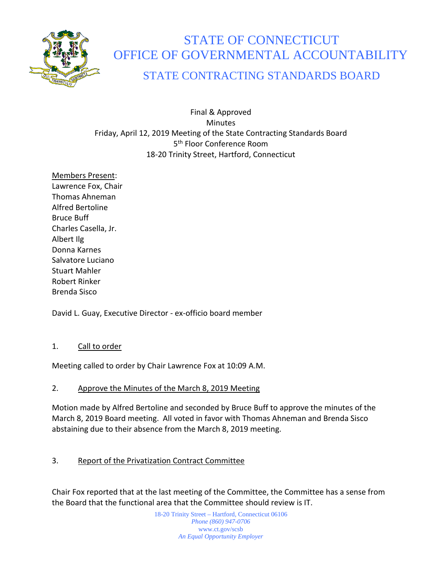

# STATE OF CONNECTICUT OFFICE OF GOVERNMENTAL ACCOUNTABILITY

# STATE CONTRACTING STANDARDS BOARD

Final & Approved Minutes Friday, April 12, 2019 Meeting of the State Contracting Standards Board 5<sup>th</sup> Floor Conference Room 18-20 Trinity Street, Hartford, Connecticut

Members Present: Lawrence Fox, Chair Thomas Ahneman Alfred Bertoline Bruce Buff Charles Casella, Jr. Albert Ilg Donna Karnes Salvatore Luciano Stuart Mahler Robert Rinker Brenda Sisco

David L. Guay, Executive Director - ex-officio board member

#### 1. Call to order

Meeting called to order by Chair Lawrence Fox at 10:09 A.M.

## 2. Approve the Minutes of the March 8, 2019 Meeting

Motion made by Alfred Bertoline and seconded by Bruce Buff to approve the minutes of the March 8, 2019 Board meeting. All voted in favor with Thomas Ahneman and Brenda Sisco abstaining due to their absence from the March 8, 2019 meeting.

## 3. Report of the Privatization Contract Committee

Chair Fox reported that at the last meeting of the Committee, the Committee has a sense from the Board that the functional area that the Committee should review is IT.

> 18-20 Trinity Street – Hartford, Connecticut 06106 *Phone (860) 947-0706*  www.ct.gov/scsb *An Equal Opportunity Employer*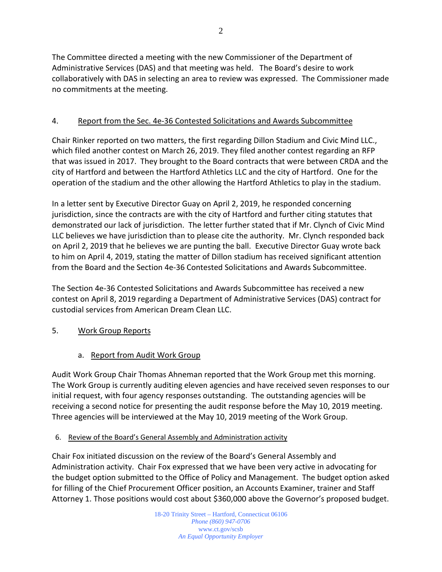The Committee directed a meeting with the new Commissioner of the Department of Administrative Services (DAS) and that meeting was held. The Board's desire to work collaboratively with DAS in selecting an area to review was expressed. The Commissioner made no commitments at the meeting.

#### 4. Report from the Sec. 4e-36 Contested Solicitations and Awards Subcommittee

Chair Rinker reported on two matters, the first regarding Dillon Stadium and Civic Mind LLC., which filed another contest on March 26, 2019. They filed another contest regarding an RFP that was issued in 2017. They brought to the Board contracts that were between CRDA and the city of Hartford and between the Hartford Athletics LLC and the city of Hartford. One for the operation of the stadium and the other allowing the Hartford Athletics to play in the stadium.

In a letter sent by Executive Director Guay on April 2, 2019, he responded concerning jurisdiction, since the contracts are with the city of Hartford and further citing statutes that demonstrated our lack of jurisdiction. The letter further stated that if Mr. Clynch of Civic Mind LLC believes we have jurisdiction than to please cite the authority. Mr. Clynch responded back on April 2, 2019 that he believes we are punting the ball. Executive Director Guay wrote back to him on April 4, 2019, stating the matter of Dillon stadium has received significant attention from the Board and the Section 4e-36 Contested Solicitations and Awards Subcommittee.

The Section 4e-36 Contested Solicitations and Awards Subcommittee has received a new contest on April 8, 2019 regarding a Department of Administrative Services (DAS) contract for custodial services from American Dream Clean LLC.

#### 5. Work Group Reports

a. Report from Audit Work Group

Audit Work Group Chair Thomas Ahneman reported that the Work Group met this morning. The Work Group is currently auditing eleven agencies and have received seven responses to our initial request, with four agency responses outstanding. The outstanding agencies will be receiving a second notice for presenting the audit response before the May 10, 2019 meeting. Three agencies will be interviewed at the May 10, 2019 meeting of the Work Group.

6. Review of the Board's General Assembly and Administration activity

Chair Fox initiated discussion on the review of the Board's General Assembly and Administration activity. Chair Fox expressed that we have been very active in advocating for the budget option submitted to the Office of Policy and Management. The budget option asked for filling of the Chief Procurement Officer position, an Accounts Examiner, trainer and Staff Attorney 1. Those positions would cost about \$360,000 above the Governor's proposed budget.

> 18-20 Trinity Street – Hartford, Connecticut 06106 *Phone (860) 947-0706*  www.ct.gov/scsb *An Equal Opportunity Employer*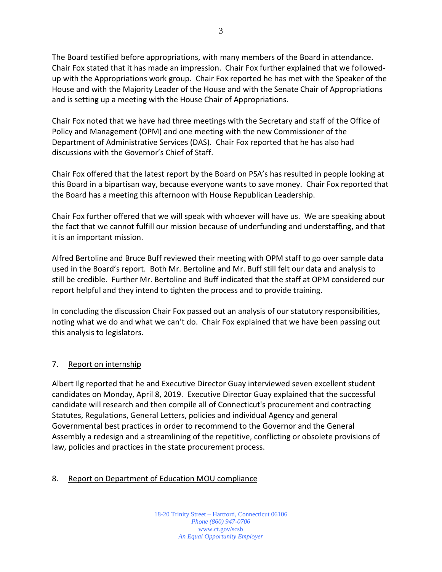The Board testified before appropriations, with many members of the Board in attendance. Chair Fox stated that it has made an impression. Chair Fox further explained that we followedup with the Appropriations work group. Chair Fox reported he has met with the Speaker of the House and with the Majority Leader of the House and with the Senate Chair of Appropriations and is setting up a meeting with the House Chair of Appropriations.

Chair Fox noted that we have had three meetings with the Secretary and staff of the Office of Policy and Management (OPM) and one meeting with the new Commissioner of the Department of Administrative Services (DAS). Chair Fox reported that he has also had discussions with the Governor's Chief of Staff.

Chair Fox offered that the latest report by the Board on PSA's has resulted in people looking at this Board in a bipartisan way, because everyone wants to save money. Chair Fox reported that the Board has a meeting this afternoon with House Republican Leadership.

Chair Fox further offered that we will speak with whoever will have us. We are speaking about the fact that we cannot fulfill our mission because of underfunding and understaffing, and that it is an important mission.

Alfred Bertoline and Bruce Buff reviewed their meeting with OPM staff to go over sample data used in the Board's report. Both Mr. Bertoline and Mr. Buff still felt our data and analysis to still be credible. Further Mr. Bertoline and Buff indicated that the staff at OPM considered our report helpful and they intend to tighten the process and to provide training.

In concluding the discussion Chair Fox passed out an analysis of our statutory responsibilities, noting what we do and what we can't do. Chair Fox explained that we have been passing out this analysis to legislators.

#### 7. Report on internship

Albert Ilg reported that he and Executive Director Guay interviewed seven excellent student candidates on Monday, April 8, 2019. Executive Director Guay explained that the successful candidate will research and then compile all of Connecticut's procurement and contracting Statutes, Regulations, General Letters, policies and individual Agency and general Governmental best practices in order to recommend to the Governor and the General Assembly a redesign and a streamlining of the repetitive, conflicting or obsolete provisions of law, policies and practices in the state procurement process.

#### 8. Report on Department of Education MOU compliance